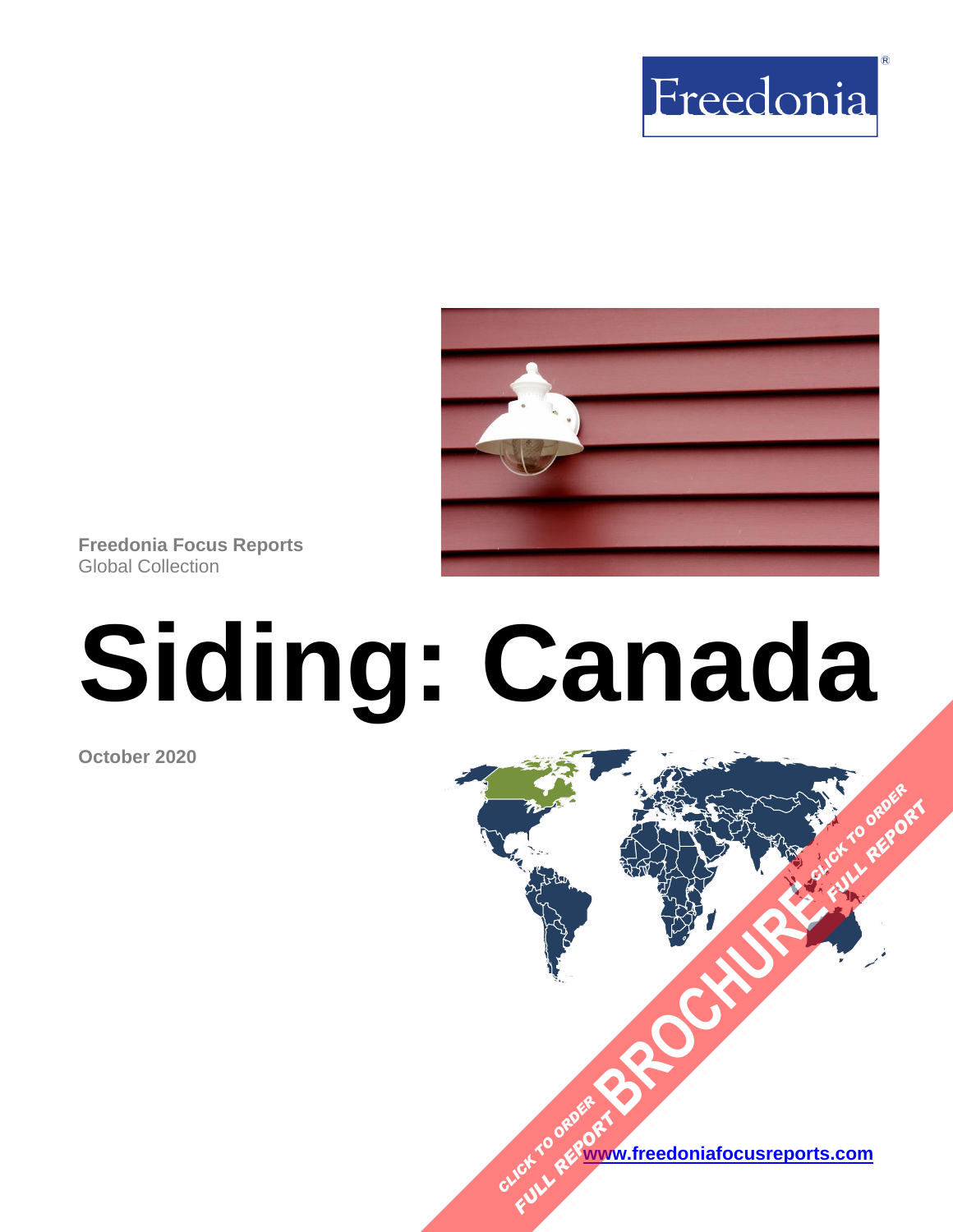



**Freedonia Focus Reports** Global Collection

# **Siding: Canada**

**October 2020**

**[www.freedoniafocusreports.com](https://www.freedoniafocusreports.com/redirect.asp?progid=89534&url=/)** CLICK TO ORDER **FULL REPORT** 

**[BROCHURE](https://www.freedoniafocusreports.com/Siding-Canada-FA60039/?progid=89541) CLICK TO ORDER** 

**FULL REPORT**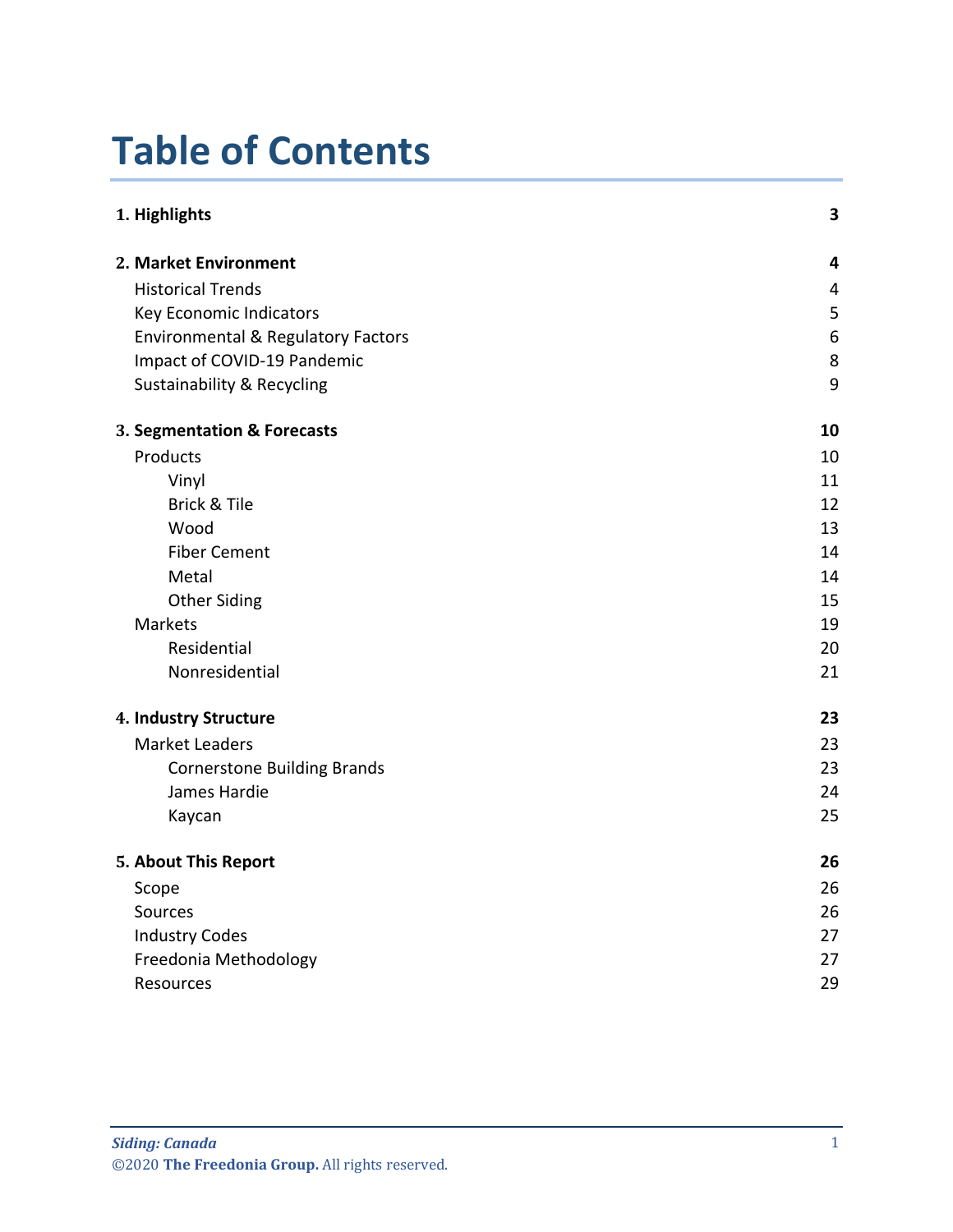# **Table of Contents**

| 1. Highlights                                 | 3                       |
|-----------------------------------------------|-------------------------|
| 2. Market Environment                         | $\overline{\mathbf{4}}$ |
| <b>Historical Trends</b>                      | $\overline{4}$          |
| Key Economic Indicators                       | 5                       |
| <b>Environmental &amp; Regulatory Factors</b> | $6\,$                   |
| Impact of COVID-19 Pandemic                   | 8                       |
| <b>Sustainability &amp; Recycling</b>         | 9                       |
| 3. Segmentation & Forecasts                   | 10                      |
| Products                                      | 10                      |
| Vinyl                                         | 11                      |
| Brick & Tile                                  | 12                      |
| Wood                                          | 13                      |
| <b>Fiber Cement</b>                           | 14                      |
| Metal                                         | 14                      |
| <b>Other Siding</b>                           | 15                      |
| Markets                                       | 19                      |
| Residential                                   | 20                      |
| Nonresidential                                | 21                      |
| 4. Industry Structure                         | 23                      |
| <b>Market Leaders</b>                         | 23                      |
| <b>Cornerstone Building Brands</b>            | 23                      |
| James Hardie                                  | 24                      |
| Kaycan                                        | 25                      |
| 5. About This Report                          | 26                      |
| Scope                                         | 26                      |
| Sources                                       | 26                      |
| <b>Industry Codes</b>                         | 27                      |
| Freedonia Methodology                         | 27                      |
| <b>Resources</b>                              | 29                      |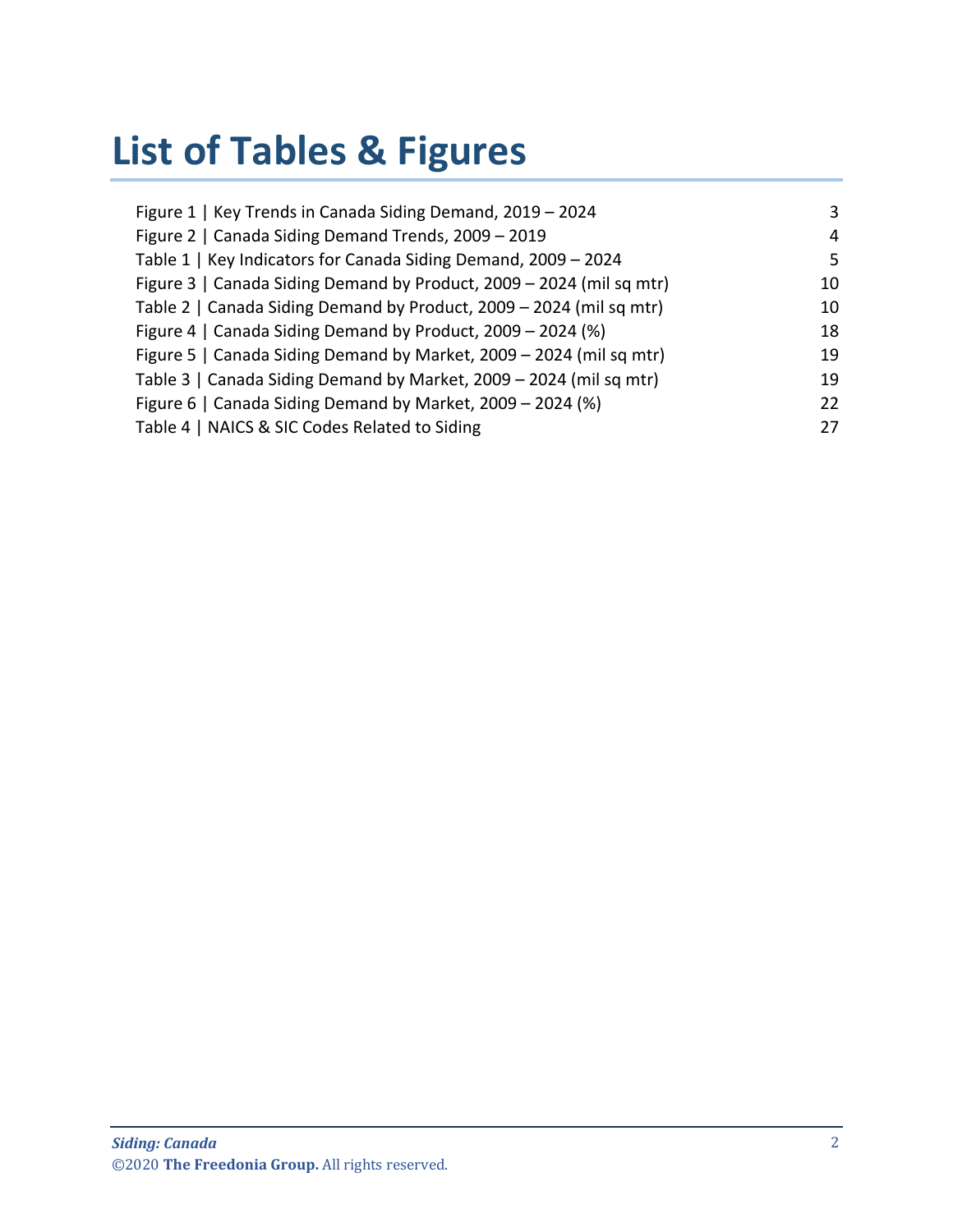# **List of Tables & Figures**

| Figure 1   Key Trends in Canada Siding Demand, 2019 - 2024           | 3   |
|----------------------------------------------------------------------|-----|
| Figure 2   Canada Siding Demand Trends, 2009 - 2019                  | 4   |
| Table 1   Key Indicators for Canada Siding Demand, 2009 - 2024       | .5. |
| Figure 3   Canada Siding Demand by Product, 2009 - 2024 (mil sq mtr) | 10  |
| Table 2   Canada Siding Demand by Product, 2009 - 2024 (mil sq mtr)  | 10  |
| Figure 4   Canada Siding Demand by Product, 2009 - 2024 (%)          | 18  |
| Figure 5   Canada Siding Demand by Market, 2009 - 2024 (mil sq mtr)  | 19  |
| Table 3   Canada Siding Demand by Market, 2009 - 2024 (mil sq mtr)   | 19  |
| Figure 6   Canada Siding Demand by Market, 2009 - 2024 (%)           | 22  |
| Table 4   NAICS & SIC Codes Related to Siding                        | 27  |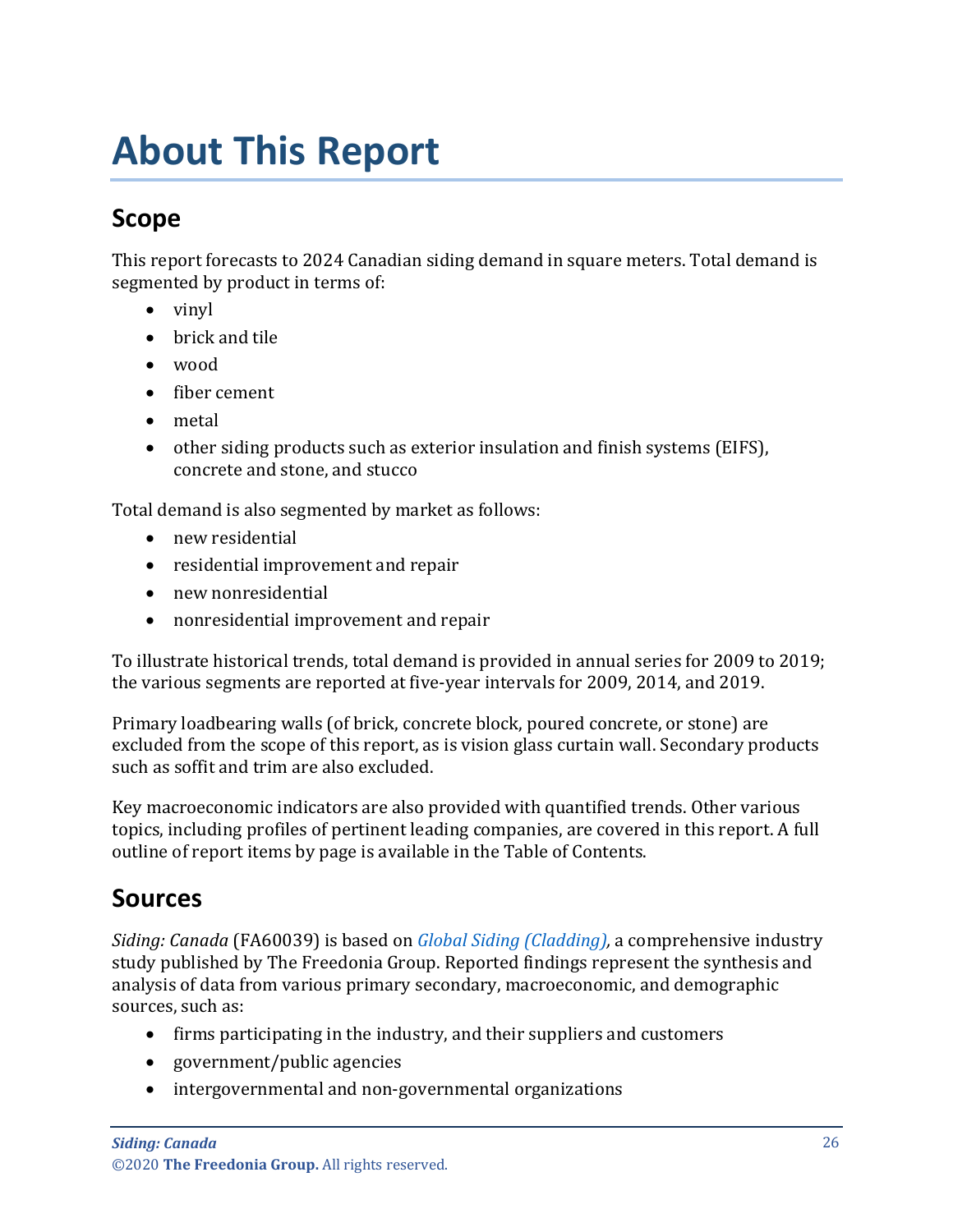# <span id="page-3-0"></span>**About This Report**

# <span id="page-3-1"></span>**Scope**

This report forecasts to 2024 Canadian siding demand in square meters. Total demand is segmented by product in terms of:

- vinyl
- brick and tile
- wood
- fiber cement
- metal
- other siding products such as exterior insulation and finish systems (EIFS), concrete and stone, and stucco

Total demand is also segmented by market as follows:

- new residential
- residential improvement and repair
- new nonresidential
- nonresidential improvement and repair

To illustrate historical trends, total demand is provided in annual series for 2009 to 2019; the various segments are reported at five-year intervals for 2009, 2014, and 2019.

Primary loadbearing walls (of brick, concrete block, poured concrete, or stone) are excluded from the scope of this report, as is vision glass curtain wall. Secondary products such as soffit and trim are also excluded.

Key macroeconomic indicators are also provided with quantified trends. Other various topics, including profiles of pertinent leading companies, are covered in this report. A full outline of report items by page is available in the Table of Contents.

## <span id="page-3-2"></span>**Sources**

*Siding: Canada* (FA60039) is based on *[Global Siding \(Cladding\),](http://www.freedoniagroup.com/DocumentDetails.aspx?ReferrerId=FL-FOCUS&studyid=3874)* a comprehensive industry study published by The Freedonia Group. Reported findings represent the synthesis and analysis of data from various primary secondary, macroeconomic, and demographic sources, such as:

- firms participating in the industry, and their suppliers and customers
- government/public agencies
- intergovernmental and non-governmental organizations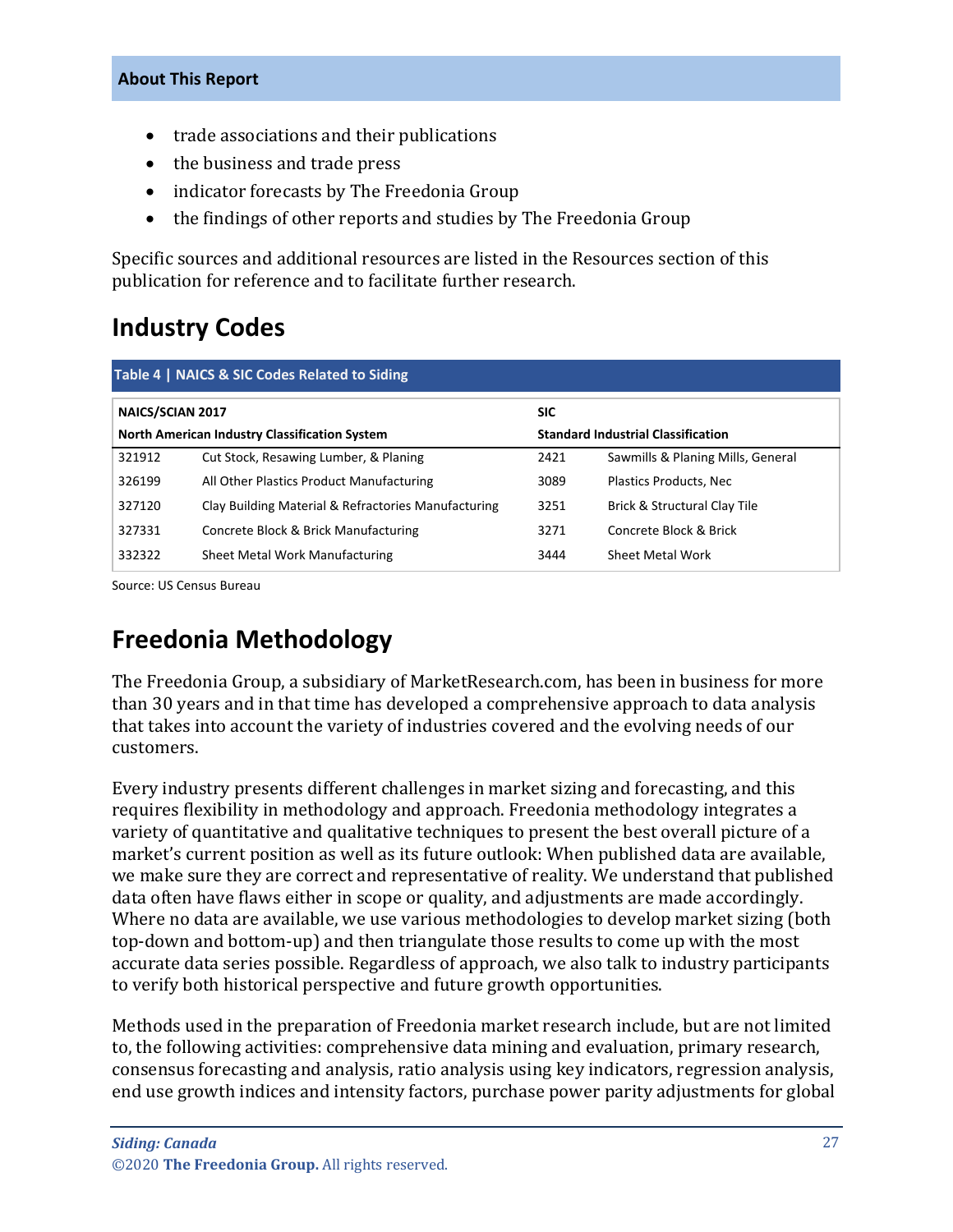#### **About This Report**

- trade associations and their publications
- the business and trade press
- indicator forecasts by The Freedonia Group
- the findings of other reports and studies by The Freedonia Group

Specific sources and additional resources are listed in the Resources section of this publication for reference and to facilitate further research.

## <span id="page-4-0"></span>**Industry Codes**

<span id="page-4-2"></span>

| Table 4   NAICS & SIC Codes Related to Siding |                                                     |                                           |                                   |  |
|-----------------------------------------------|-----------------------------------------------------|-------------------------------------------|-----------------------------------|--|
| <b>NAICS/SCIAN 2017</b>                       |                                                     | <b>SIC</b>                                |                                   |  |
| North American Industry Classification System |                                                     | <b>Standard Industrial Classification</b> |                                   |  |
| 321912                                        | Cut Stock, Resawing Lumber, & Planing               | 2421                                      | Sawmills & Planing Mills, General |  |
| 326199                                        | All Other Plastics Product Manufacturing            | 3089                                      | Plastics Products, Nec            |  |
| 327120                                        | Clay Building Material & Refractories Manufacturing | 3251                                      | Brick & Structural Clay Tile      |  |
| 327331                                        | Concrete Block & Brick Manufacturing                | 3271                                      | Concrete Block & Brick            |  |
| 332322                                        | Sheet Metal Work Manufacturing                      | 3444                                      | Sheet Metal Work                  |  |

Source: US Census Bureau

## <span id="page-4-1"></span>**Freedonia Methodology**

The Freedonia Group, a subsidiary of MarketResearch.com, has been in business for more than 30 years and in that time has developed a comprehensive approach to data analysis that takes into account the variety of industries covered and the evolving needs of our customers.

Every industry presents different challenges in market sizing and forecasting, and this requires flexibility in methodology and approach. Freedonia methodology integrates a variety of quantitative and qualitative techniques to present the best overall picture of a market's current position as well as its future outlook: When published data are available, we make sure they are correct and representative of reality. We understand that published data often have flaws either in scope or quality, and adjustments are made accordingly. Where no data are available, we use various methodologies to develop market sizing (both top-down and bottom-up) and then triangulate those results to come up with the most accurate data series possible. Regardless of approach, we also talk to industry participants to verify both historical perspective and future growth opportunities.

Methods used in the preparation of Freedonia market research include, but are not limited to, the following activities: comprehensive data mining and evaluation, primary research, consensus forecasting and analysis, ratio analysis using key indicators, regression analysis, end use growth indices and intensity factors, purchase power parity adjustments for global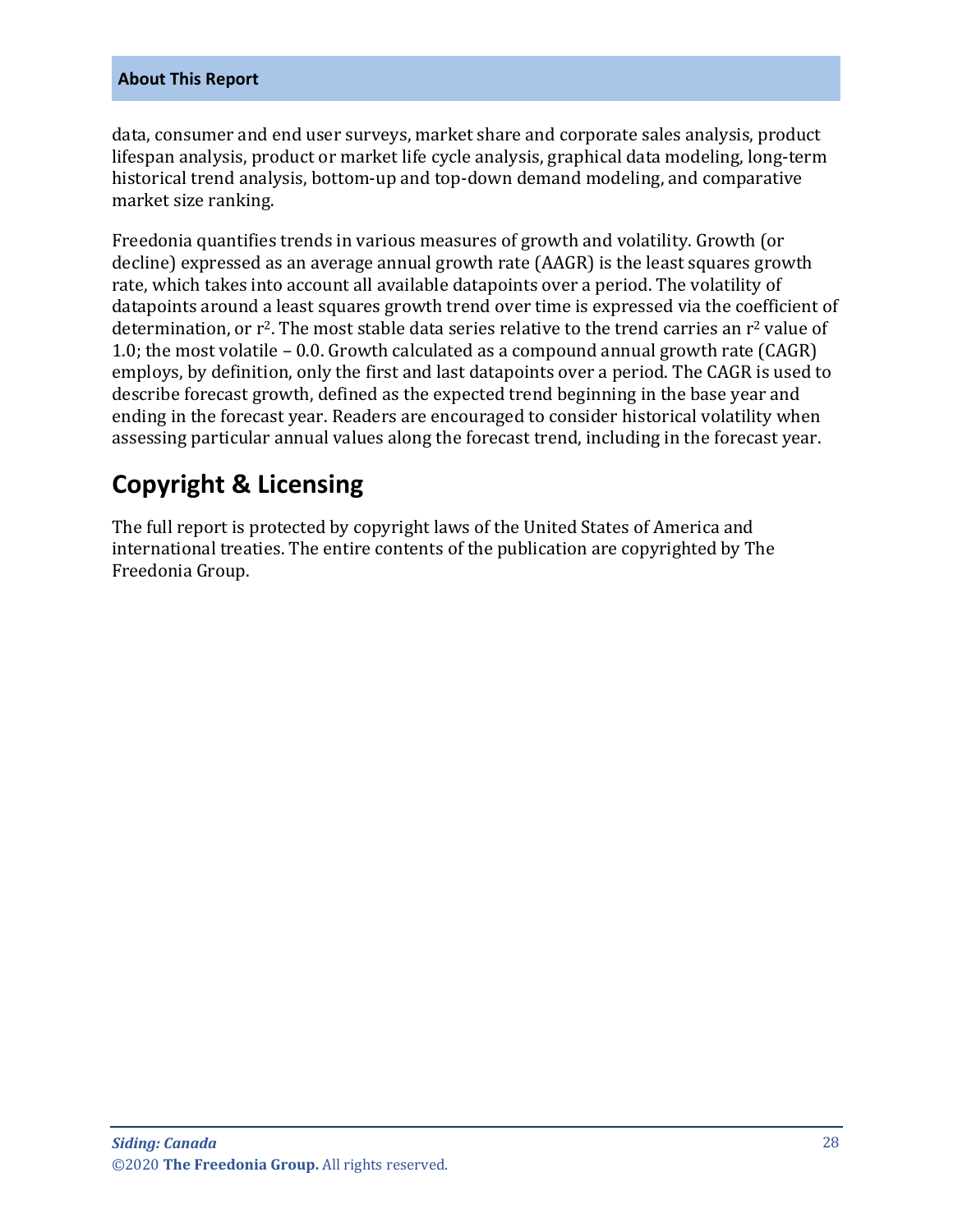#### **About This Report**

data, consumer and end user surveys, market share and corporate sales analysis, product lifespan analysis, product or market life cycle analysis, graphical data modeling, long-term historical trend analysis, bottom-up and top-down demand modeling, and comparative market size ranking.

Freedonia quantifies trends in various measures of growth and volatility. Growth (or decline) expressed as an average annual growth rate (AAGR) is the least squares growth rate, which takes into account all available datapoints over a period. The volatility of datapoints around a least squares growth trend over time is expressed via the coefficient of determination, or  $r^2$ . The most stable data series relative to the trend carries an  $r^2$  value of 1.0; the most volatile – 0.0. Growth calculated as a compound annual growth rate (CAGR) employs, by definition, only the first and last datapoints over a period. The CAGR is used to describe forecast growth, defined as the expected trend beginning in the base year and ending in the forecast year. Readers are encouraged to consider historical volatility when assessing particular annual values along the forecast trend, including in the forecast year.

# **Copyright & Licensing**

The full report is protected by copyright laws of the United States of America and international treaties. The entire contents of the publication are copyrighted by The Freedonia Group.